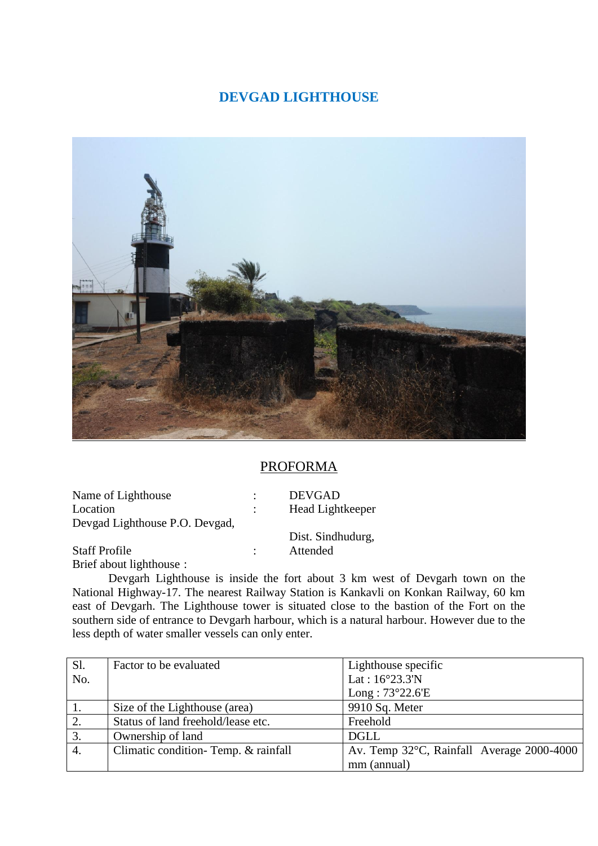## **DEVGAD LIGHTHOUSE**



## PROFORMA

Name of Lighthouse : DEVGAD Location : Head Lightkeeper Devgad Lighthouse P.O. Devgad,

Dist. Sindhudurg,

Staff Profile : Attended Brief about lighthouse :

Devgarh Lighthouse is inside the fort about 3 km west of Devgarh town on the National Highway-17. The nearest Railway Station is Kankavli on Konkan Railway, 60 km east of Devgarh. The Lighthouse tower is situated close to the bastion of the Fort on the southern side of entrance to Devgarh harbour, which is a natural harbour. However due to the less depth of water smaller vessels can only enter.

| Sl. | Factor to be evaluated              | Lighthouse specific                                 |
|-----|-------------------------------------|-----------------------------------------------------|
| No. |                                     | Lat: $16^{\circ}23.3^{\prime}N$                     |
|     |                                     | Long: $73^{\circ}22.6'E$                            |
|     | Size of the Lighthouse (area)       | 9910 Sq. Meter                                      |
| 2.  | Status of land freehold/lease etc.  | Freehold                                            |
| 3.  | Ownership of land                   | <b>DGLL</b>                                         |
| 4.  | Climatic condition-Temp. & rainfall | Av. Temp $32^{\circ}$ C, Rainfall Average 2000-4000 |
|     |                                     | mm (annual)                                         |